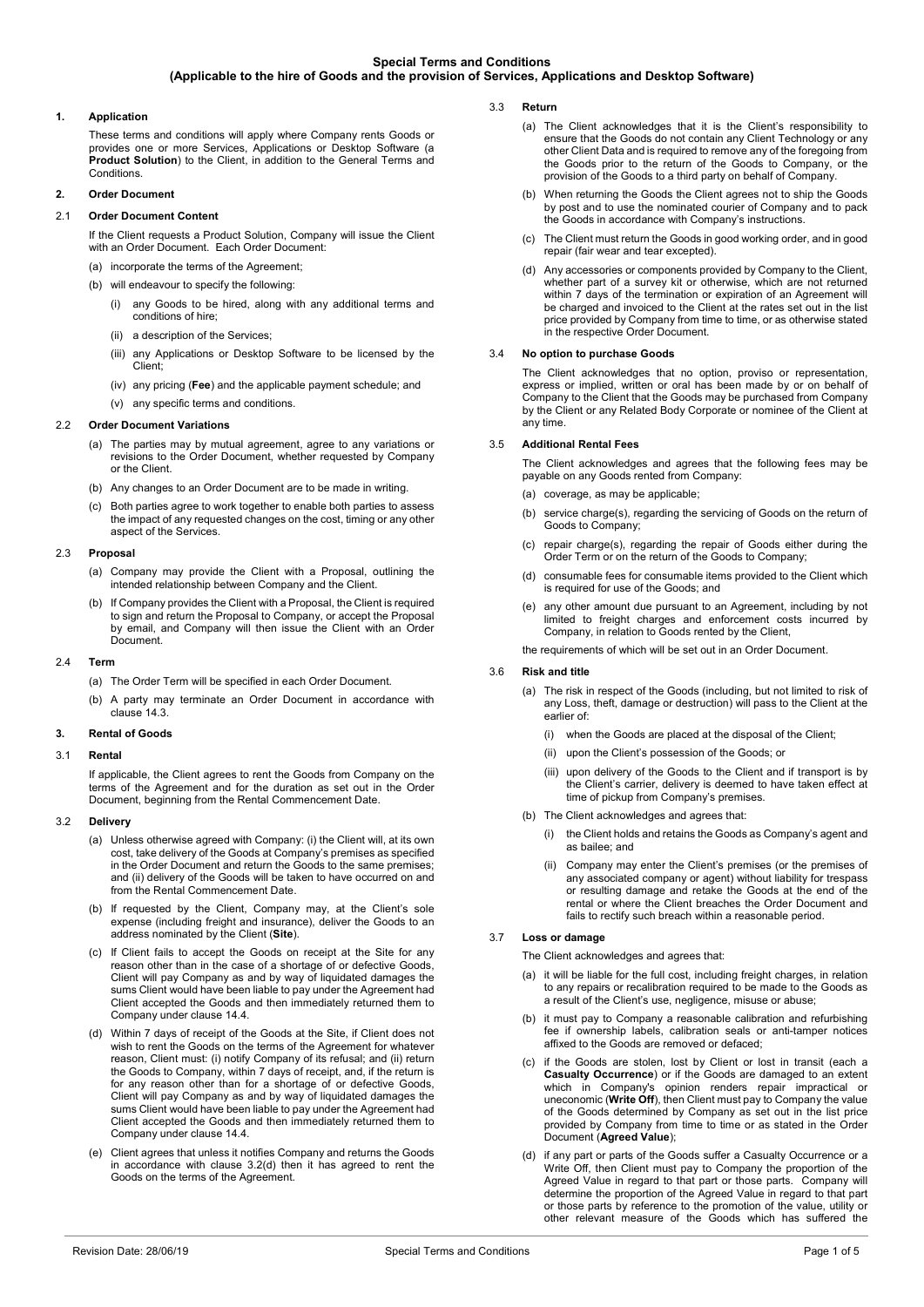# **1. Application**

These terms and conditions will apply where Company rents Goods or provides one or more Services, Applications or Desktop Software (a **Product Solution**) to the Client, in addition to the General Terms and Conditions.

# **2. Order Document**

# 2.1 **Order Document Content**

If the Client requests a Product Solution, Company will issue the Client with an Order Document. Each Order Document: (a) incorporate the terms of the Agreement;

- (b) will endeavour to specify the following:
	- (i) any Goods to be hired, along with any additional terms and conditions of hire;
	- (ii) a description of the Services:
	- (iii) any Applications or Desktop Software to be licensed by the Client;
	- (iv) any pricing (**Fee**) and the applicable payment schedule; and
- (v) any specific terms and conditions.

## 2.2 **Order Document Variations**

- (a) The parties may by mutual agreement, agree to any variations or revisions to the Order Document, whether requested by Company or the Client.
- (b) Any changes to an Order Document are to be made in writing.
- (c) Both parties agree to work together to enable both parties to assess the impact of any requested changes on the cost, timing or any other aspect of the Services.

# 2.3 **Proposal**

- (a) Company may provide the Client with a Proposal, outlining the intended relationship between Company and the Client.
- If Company provides the Client with a Proposal, the Client is required to sign and return the Proposal to Company, or accept the Proposal by email, and Company will then issue the Client with an Order Document.

#### 2.4 **Term**

- (a) The Order Term will be specified in each Order Document.
- (b) A party may terminate an Order Document in accordance with clause [14.3.](#page-2-0)

#### **3. Rental of Goods**

## 3.1 **Rental**

If applicable, the Client agrees to rent the Goods from Company on the terms of the Agreement and for the duration as set out in the Order Document, beginning from the Rental Commencement Date.

## 3.2 **Delivery**

- (a) Unless otherwise agreed with Company: (i) the Client will, at its own cost, take delivery of the Goods at Company's premises as specified in the Order Document and return the Goods to the same premises; and (ii) delivery of the Goods will be taken to have occurred on and from the Rental Commencement Date.
- (b) If requested by the Client, Company may, at the Client's sole expense (including freight and insurance), deliver the Goods to an address nominated by the Client (**Site**).
- (c) If Client fails to accept the Goods on receipt at the Site for any reason other than in the case of a shortage of or defective Goods, Client will pay Company as and by way of liquidated damages the sums Client would have been liable to pay under the Agreement had Client accepted the Goods and then immediately returned them to Company under clause [14.4.](#page-3-0)
- <span id="page-0-0"></span>(d) Within 7 days of receipt of the Goods at the Site, if Client does not wish to rent the Goods on the terms of the Agreement for whatever reason, Client must: (i) notify Company of its refusal; and (ii) return the Goods to Company, within 7 days of receipt, and, if the return is for any reason other than for a shortage of or defective Goods, Client will pay Company as and by way of liquidated damages the sums Client would have been liable to pay under the Agreement had Client accepted the Goods and then immediately returned them to Company under claus[e 14.4.](#page-3-0)
- (e) Client agrees that unless it notifies Company and returns the Goods in accordance with clause [3.2\(d\)](#page-0-0) then it has agreed to rent the Goods on the terms of the Agreement.
- 3.3 **Return** 
	- (a) The Client acknowledges that it is the Client's responsibility to ensure that the Goods do not contain any Client Technology or any other Client Data and is required to remove any of the foregoing from the Goods prior to the return of the Goods to Company, or the provision of the Goods to a third party on behalf of Company.
	- (b) When returning the Goods the Client agrees not to ship the Goods by post and to use the nominated courier of Company and to pack the Goods in accordance with Company's instructions.
	- (c) The Client must return the Goods in good working order, and in good repair (fair wear and tear excepted).
	- (d) Any accessories or components provided by Company to the Client, whether part of a survey kit or otherwise, which are not returned within 7 days of the termination or expiration of an Agreement will be charged and invoiced to the Client at the rates set out in the list price provided by Company from time to time, or as otherwise stated in the respective Order Document.

# <span id="page-0-3"></span>3.4 **No option to purchase Goods**

The Client acknowledges that no option, proviso or representation, express or implied, written or oral has been made by or on behalf of Company to the Client that the Goods may be purchased from Company by the Client or any Related Body Corporate or nominee of the Client at any time.

#### 3.5 **Additional Rental Fees**

The Client acknowledges and agrees that the following fees may be payable on any Goods rented from Company:

- (a) coverage, as may be applicable:
- (b) service charge(s), regarding the servicing of Goods on the return of Goods to Company;
- (c) repair charge(s), regarding the repair of Goods either during the Order Term or on the return of the Goods to Company;
- (d) consumable fees for consumable items provided to the Client which is required for use of the Goods; and
- (e) any other amount due pursuant to an Agreement, including by not limited to freight charges and enforcement costs incurred by Company, in relation to Goods rented by the Client,

the requirements of which will be set out in an Order Document.

## 3.6 **Risk and title**

- (a) The risk in respect of the Goods (including, but not limited to risk of any Loss, theft, damage or destruction) will pass to the Client at the earlier of:
	- (i) when the Goods are placed at the disposal of the Client;
	- (ii) upon the Client's possession of the Goods; or
	- (iii) upon delivery of the Goods to the Client and if transport is by the Client's carrier, delivery is deemed to have taken effect at time of pickup from Company's premises.
- (b) The Client acknowledges and agrees that:
	- (i) the Client holds and retains the Goods as Company's agent and as bailee; and
	- (ii) Company may enter the Client's premises (or the premises of any associated company or agent) without liability for trespass or resulting damage and retake the Goods at the end of the rental or where the Client breaches the Order Document and fails to rectify such breach within a reasonable period.

# 3.7 **Loss or damage**

The Client acknowledges and agrees that:

- (a) it will be liable for the full cost, including freight charges, in relation to any repairs or recalibration required to be made to the Goods as a result of the Client's use, negligence, misuse or abuse;
- (b) it must pay to Company a reasonable calibration and refurbishing fee if ownership labels, calibration seals or anti-tamper notices affixed to the Goods are removed or defaced;
- <span id="page-0-1"></span>(c) if the Goods are stolen, lost by Client or lost in transit (each a **Casualty Occurrence**) or if the Goods are damaged to an extent which in Company's opinion renders repair impractical or uneconomic (**Write Off**), then Client must pay to Company the value of the Goods determined by Company as set out in the list price provided by Company from time to time or as stated in the Order Document (**Agreed Value**);
- <span id="page-0-2"></span>(d) if any part or parts of the Goods suffer a Casualty Occurrence or a Write Off, then Client must pay to Company the proportion of the Agreed Value in regard to that part or those parts. Company will determine the proportion of the Agreed Value in regard to that part or those parts by reference to the promotion of the value, utility or other relevant measure of the Goods which has suffered the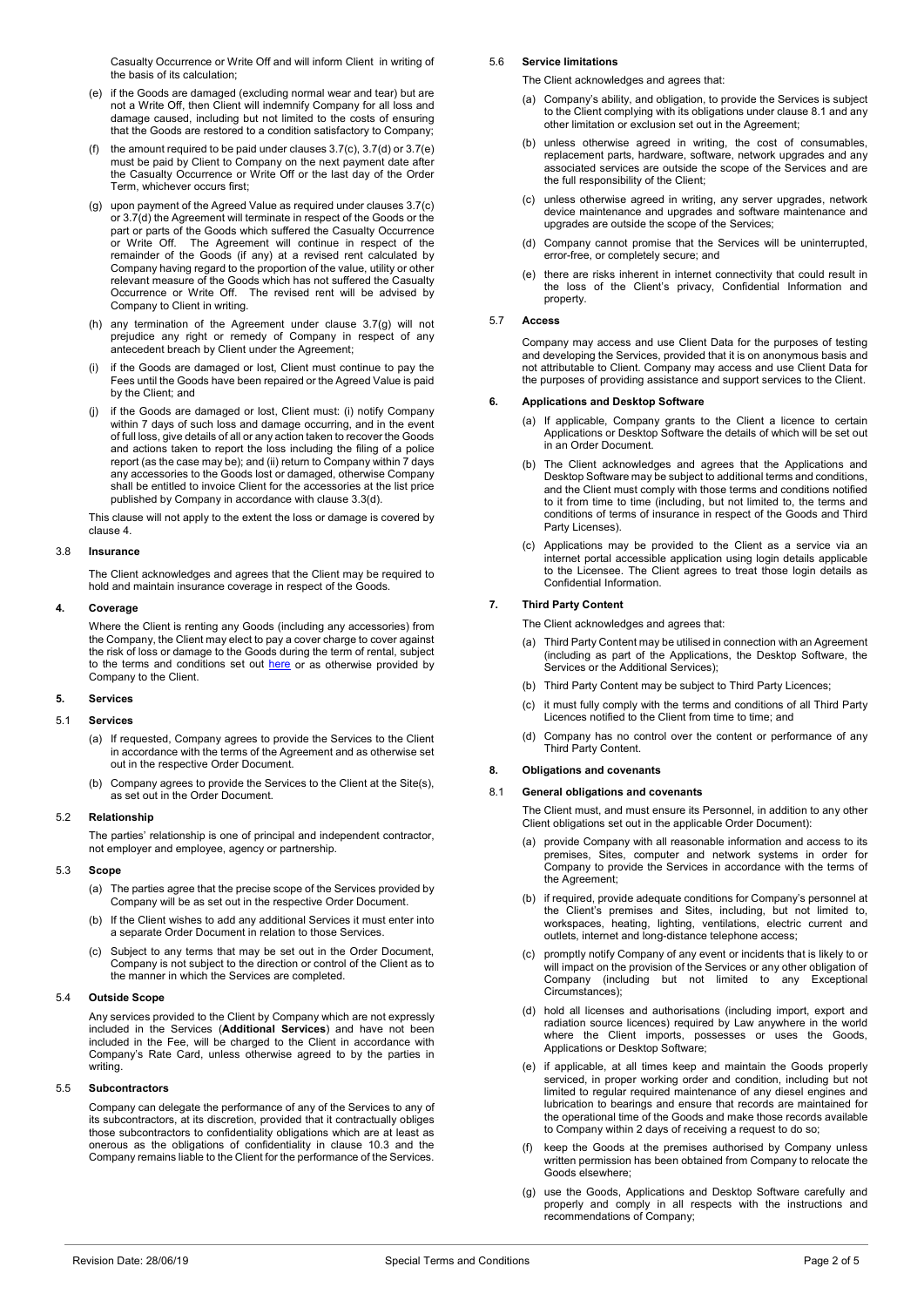Casualty Occurrence or Write Off and will inform Client in writing of the basis of its calculation;

- <span id="page-1-0"></span>(e) if the Goods are damaged (excluding normal wear and tear) but are not a Write Off, then Client will indemnify Company for all loss and damage caused, including but not limited to the costs of ensuring that the Goods are restored to a condition satisfactory to Company;
- (f) the amount required to be paid under clauses  $3.7(c)$ ,  $3.7(d)$  or  $3.7(e)$ must be paid by Client to Company on the next payment date after the Casualty Occurrence or Write Off or the last day of the Order Term, whichever occurs first;
- <span id="page-1-1"></span>(g) upon payment of the Agreed Value as required under clause[s 3.7\(c\)](#page-0-1) o[r 3.7\(d\)](#page-0-2) the Agreement will terminate in respect of the Goods or the part or parts of the Goods which suffered the Casualty Occurrence or Write Off. The Agreement will continue in respect of the remainder of the Goods (if any) at a revised rent calculated by Company having regard to the proportion of the value, utility or other relevant measure of the Goods which has not suffered the Casualty Occurrence or Write Off. The revised rent will be advised by Company to Client in writing.
- (h) any termination of the Agreement under clause [3.7\(g\)](#page-1-1) will not prejudice any right or remedy of Company in respect of any antecedent breach by Client under the Agreement;
- (i) if the Goods are damaged or lost, Client must continue to pay the Fees until the Goods have been repaired or the Agreed Value is paid by the Client; and
- <span id="page-1-6"></span>(j) if the Goods are damaged or lost, Client must: (i) notify Company within 7 days of such loss and damage occurring, and in the event of full loss, give details of all or any action taken to recover the Goods and actions taken to report the loss including the filing of a police report (as the case may be); and (ii) return to Company within 7 days any accessories to the Goods lost or damaged, otherwise Company shall be entitled to invoice Client for the accessories at the list price published by Company in accordance with claus[e 3.3\(d\).](#page-0-3)

This clause will not apply to the extent the loss or damage is covered by claus[e 4.](#page-1-2)

## 3.8 **Insurance**

The Client acknowledges and agrees that the Client may be required to hold and maintain insurance coverage in respect of the Goods.

#### <span id="page-1-2"></span>**4. Coverage**

Where the Client is renting any Goods (including any accessories) from the Company, the Client may elect to pay a cover charge to cover against the risk of loss or damage to the Goods during the term of rental, subject to the terms and conditions set out [here](https://www.imdexlimited.com/media/home/Coverage-Summary-September-2018.pdf) or as otherwise provided by Company to the Client.

## **5. Services**

## 5.1 **Services**

- (a) If requested, Company agrees to provide the Services to the Client in accordance with the terms of the Agreement and as otherwise set out in the respective Order Document.
- (b) Company agrees to provide the Services to the Client at the Site(s), as set out in the Order Document.

#### 5.2 **Relationship**

The parties' relationship is one of principal and independent contractor, not employer and employee, agency or partnership.

#### 5.3 **Scope**

- (a) The parties agree that the precise scope of the Services provided by Company will be as set out in the respective Order Document.
- (b) If the Client wishes to add any additional Services it must enter into a separate Order Document in relation to those Services.
- (c) Subject to any terms that may be set out in the Order Document, Company is not subject to the direction or control of the Client as to the manner in which the Services are completed.

# 5.4 **Outside Scope**

Any services provided to the Client by Company which are not expressly included in the Services (**Additional Services**) and have not been included in the Fee, will be charged to the Client in accordance with Company's Rate Card, unless otherwise agreed to by the parties in writing.

#### 5.5 **Subcontractors**

Company can delegate the performance of any of the Services to any of its subcontractors, at its discretion, provided that it contractually obliges those subcontractors to confidentiality obligations which are at least as onerous as the obligations of confidentiality in clause [10.3](#page-2-1) and the Company remains liable to the Client for the performance of the Services.

## 5.6 **Service limitations**

The Client acknowledges and agrees that:

- (a) Company's ability, and obligation, to provide the Services is subject to the Client complying with its obligations under claus[e 8.1](#page-1-3) and any other limitation or exclusion set out in the Agreement;
- (b) unless otherwise agreed in writing, the cost of consumables, replacement parts, hardware, software, network upgrades and any associated services are outside the scope of the Services and are the full responsibility of the Client;
- (c) unless otherwise agreed in writing, any server upgrades, network device maintenance and upgrades and software maintenance and upgrades are outside the scope of the Services;
- (d) Company cannot promise that the Services will be uninterrupted, error-free, or completely secure; and
- (e) there are risks inherent in internet connectivity that could result in the loss of the Client's privacy, Confidential Information and property.

## 5.7 **Access**

Company may access and use Client Data for the purposes of testing and developing the Services, provided that it is on anonymous basis and not attributable to Client. Company may access and use Client Data for the purposes of providing assistance and support services to the Client.

#### **6. Applications and Desktop Software**

- (a) If applicable, Company grants to the Client a licence to certain Applications or Desktop Software the details of which will be set out in an Order Document.
- The Client acknowledges and agrees that the Applications and Desktop Software may be subject to additional terms and conditions, and the Client must comply with those terms and conditions notified to it from time to time (including, but not limited to, the terms and conditions of terms of insurance in respect of the Goods and Third Party Licenses).
- (c) Applications may be provided to the Client as a service via an internet portal accessible application using login details applicable to the Licensee. The Client agrees to treat those login details as Confidential Information.

## **7. Third Party Content**

- The Client acknowledges and agrees that:
- (a) Third Party Content may be utilised in connection with an Agreement (including as part of the Applications, the Desktop Software, the Services or the Additional Services):
- (b) Third Party Content may be subject to Third Party Licences;
- it must fully comply with the terms and conditions of all Third Party Licences notified to the Client from time to time; and
- (d) Company has no control over the content or performance of any Third Party Content.

## **8. Obligations and covenants**

#### <span id="page-1-3"></span>8.1 **General obligations and covenants**

The Client must, and must ensure its Personnel, in addition to any other Client obligations set out in the applicable Order Document):

- provide Company with all reasonable information and access to its premises, Sites, computer and network systems in order for Company to provide the Services in accordance with the terms of the Agreement;
- (b) if required, provide adequate conditions for Company's personnel at the Client's premises and Sites, including, but not limited to, workspaces, heating, lighting, ventilations, electric current and outlets, internet and long-distance telephone access;
- (c) promptly notify Company of any event or incidents that is likely to or will impact on the provision of the Services or any other obligation of Company (including but not limited to any Exceptional Circumstances);
- <span id="page-1-4"></span>(d) hold all licenses and authorisations (including import, export and radiation source licences) required by Law anywhere in the world where the Client imports, possesses or uses the Goods, Applications or Desktop Software;
- <span id="page-1-5"></span>(e) if applicable, at all times keep and maintain the Goods properly serviced, in proper working order and condition, including but not limited to regular required maintenance of any diesel engines and lubrication to bearings and ensure that records are maintained for the operational time of the Goods and make those records available to Company within 2 days of receiving a request to do so;
- (f) keep the Goods at the premises authorised by Company unless written permission has been obtained from Company to relocate the Goods elsewhere;
- (g) use the Goods, Applications and Desktop Software carefully and properly and comply in all respects with the instructions and recommendations of Company;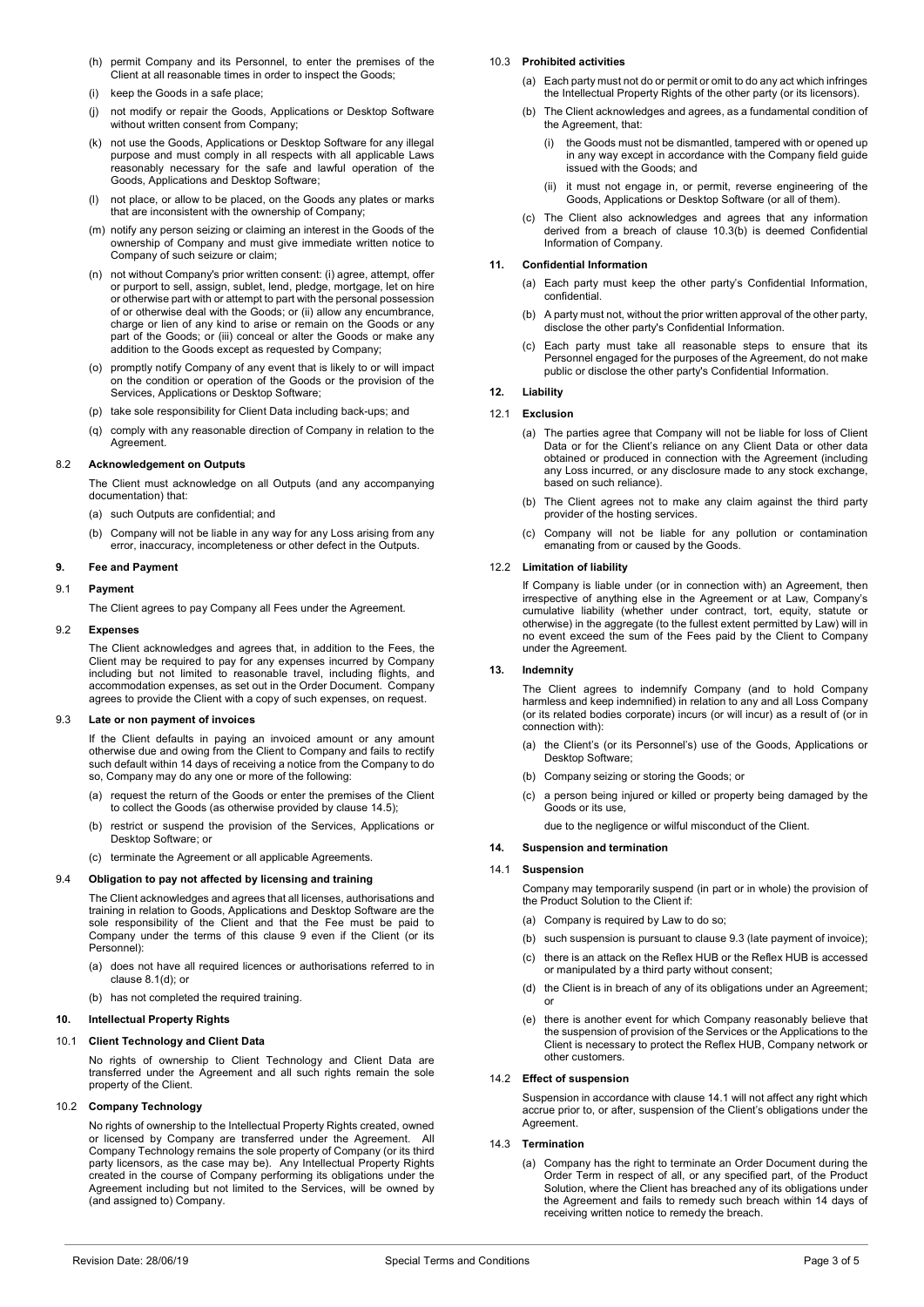- (h) permit Company and its Personnel, to enter the premises of the Client at all reasonable times in order to inspect the Goods;
- (i) keep the Goods in a safe place;
- (j) not modify or repair the Goods, Applications or Desktop Software without written consent from Company;
- (k) not use the Goods, Applications or Desktop Software for any illegal purpose and must comply in all respects with all applicable Laws reasonably necessary for the safe and lawful operation of the Goods, Applications and Desktop Software;
- (l) not place, or allow to be placed, on the Goods any plates or marks that are inconsistent with the ownership of Company;
- (m) notify any person seizing or claiming an interest in the Goods of the ownership of Company and must give immediate written notice to Company of such seizure or claim;
- (n) not without Company's prior written consent: (i) agree, attempt, offer or purport to sell, assign, sublet, lend, pledge, mortgage, let on hire or otherwise part with or attempt to part with the personal possession of or otherwise deal with the Goods; or (ii) allow any encumbrance, charge or lien of any kind to arise or remain on the Goods or any part of the Goods; or (iii) conceal or alter the Goods or make any addition to the Goods except as requested by Company;
- (o) promptly notify Company of any event that is likely to or will impact on the condition or operation of the Goods or the provision of the Services, Applications or Desktop Software;
- (p) take sole responsibility for Client Data including back-ups; and
- (q) comply with any reasonable direction of Company in relation to the **Agreement**

# 8.2 **Acknowledgement on Outputs**

The Client must acknowledge on all Outputs (and any accompanying documentation) that:

- (a) such Outputs are confidential; and
- (b) Company will not be liable in any way for any Loss arising from any error, inaccuracy, incompleteness or other defect in the Outputs.

# <span id="page-2-2"></span>**9. Fee and Payment**

## 9.1 **Payment**

The Client agrees to pay Company all Fees under the Agreement.

#### 9.2 **Expenses**

The Client acknowledges and agrees that, in addition to the Fees, the Client may be required to pay for any expenses incurred by Company including but not limited to reasonable travel, including flights, and accommodation expenses, as set out in the Order Document. Company agrees to provide the Client with a copy of such expenses, on request.

## <span id="page-2-4"></span>9.3 **Late or non payment of invoices**

If the Client defaults in paying an invoiced amount or any amount otherwise due and owing from the Client to Company and fails to rectify such default within 14 days of receiving a notice from the Company to do so, Company may do any one or more of the following:

- (a) request the return of the Goods or enter the premises of the Client to collect the Goods (as otherwise provided by claus[e 14.5\);](#page-3-1)
- (b) restrict or suspend the provision of the Services, Applications or Desktop Software; or
- (c) terminate the Agreement or all applicable Agreements.

## 9.4 **Obligation to pay not affected by licensing and training**

The Client acknowledges and agrees that all licenses, authorisations and training in relation to Goods, Applications and Desktop Software are the sole responsibility of the Client and that the Fee must be paid to Company under the terms of this clause [9](#page-2-2) even if the Client (or its Personnel):

- (a) does not have all required licences or authorisations referred to in claus[e 8.1\(d\);](#page-1-4) or
- (b) has not completed the required training.

# <span id="page-2-6"></span>**10. Intellectual Property Rights**

# 10.1 **Client Technology and Client Data**

No rights of ownership to Client Technology and Client Data are transferred under the Agreement and all such rights remain the sole property of the Client.

## 10.2 **Company Technology**

No rights of ownership to the Intellectual Property Rights created, owned or licensed by Company are transferred under the Agreement. All Company Technology remains the sole property of Company (or its third party licensors, as the case may be). Any Intellectual Property Rights created in the course of Company performing its obligations under the Agreement including but not limited to the Services, will be owned by (and assigned to) Company.

#### <span id="page-2-1"></span>10.3 **Prohibited activities**

- (a) Each party must not do or permit or omit to do any act which infringes the Intellectual Property Rights of the other party (or its licensors).
- <span id="page-2-3"></span>The Client acknowledges and agrees, as a fundamental condition of the Agreement, that:
	- (i) the Goods must not be dismantled, tampered with or opened up in any way except in accordance with the Company field guide issued with the Goods; and
	- (ii) it must not engage in, or permit, reverse engineering of the Goods, Applications or Desktop Software (or all of them).
- (c) The Client also acknowledges and agrees that any information derived from a breach of clause [10.3\(b\)](#page-2-3) is deemed Confidential Information of Company.

# **11. Confidential Information**

- (a) Each party must keep the other party's Confidential Information, confidential.
- (b) A party must not, without the prior written approval of the other party, disclose the other party's Confidential Information.
- (c) Each party must take all reasonable steps to ensure that its Personnel engaged for the purposes of the Agreement, do not make public or disclose the other party's Confidential Information.

## <span id="page-2-7"></span>**12. Liability**

# 12.1 **Exclusion**

- (a) The parties agree that Company will not be liable for loss of Client Data or for the Client's reliance on any Client Data or other data obtained or produced in connection with the Agreement (including any Loss incurred, or any disclosure made to any stock exchange, based on such reliance).
- (b) The Client agrees not to make any claim against the third party provider of the hosting services.
- (c) Company will not be liable for any pollution or contamination emanating from or caused by the Goods.

## 12.2 **Limitation of liability**

If Company is liable under (or in connection with) an Agreement, then irrespective of anything else in the Agreement or at Law, Company's cumulative liability (whether under contract, tort, equity, statute or otherwise) in the aggregate (to the fullest extent permitted by Law) will in no event exceed the sum of the Fees paid by the Client to Company under the Agreement.

## <span id="page-2-8"></span>**13. Indemnity**

The Client agrees to indemnify Company (and to hold Company harmless and keep indemnified) in relation to any and all Loss Company (or its related bodies corporate) incurs (or will incur) as a result of (or in connection with):

- (a) the Client's (or its Personnel's) use of the Goods, Applications or Desktop Software;
- (b) Company seizing or storing the Goods; or
- a person being injured or killed or property being damaged by the Goods or its use,

due to the negligence or wilful misconduct of the Client.

## **14. Suspension and termination**

## <span id="page-2-5"></span>14.1 **Suspension**

Company may temporarily suspend (in part or in whole) the provision of the Product Solution to the Client if:

- (a) Company is required by Law to do so;
- (b) such suspension is pursuant to claus[e 9.3](#page-2-4) (late payment of invoice);
- (c) there is an attack on the Reflex HUB or the Reflex HUB is accessed or manipulated by a third party without consent;
- (d) the Client is in breach of any of its obligations under an Agreement; or
- (e) there is another event for which Company reasonably believe that the suspension of provision of the Services or the Applications to the Client is necessary to protect the Reflex HUB, Company network or other customers.

#### 14.2 **Effect of suspension**

Suspension in accordance with claus[e 14.1](#page-2-5) will not affect any right which accrue prior to, or after, suspension of the Client's obligations under the Agreement.

# <span id="page-2-0"></span>14.3 **Termination**

(a) Company has the right to terminate an Order Document during the Order Term in respect of all, or any specified part, of the Product Solution, where the Client has breached any of its obligations under the Agreement and fails to remedy such breach within 14 days of receiving written notice to remedy the breach.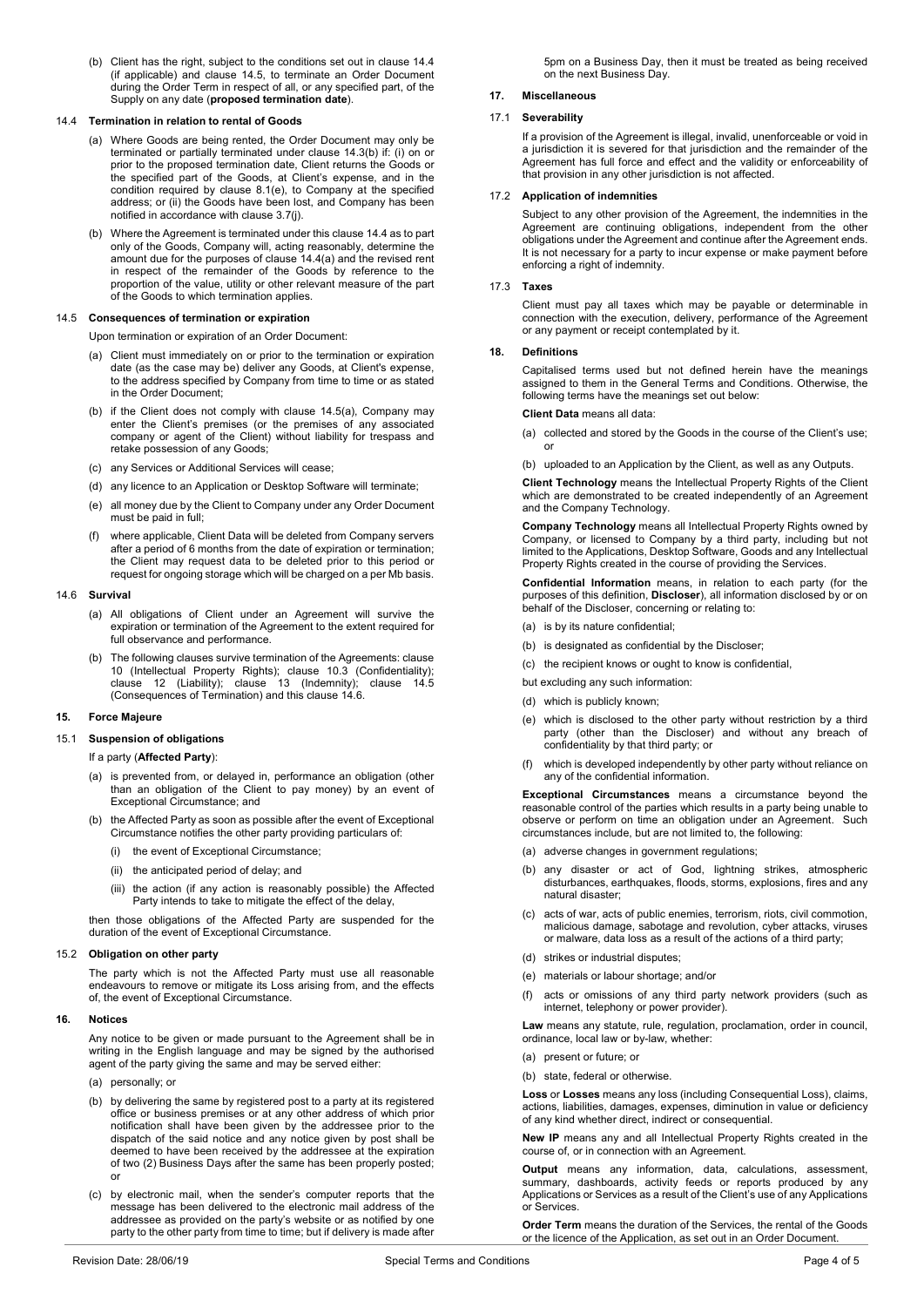<span id="page-3-2"></span>(b) Client has the right, subject to the conditions set out in clause [14.4](#page-3-0) (if applicable) and clause [14.5,](#page-3-1) to terminate an Order Document during the Order Term in respect of all, or any specified part, of the Supply on any date (**proposed termination date**).

#### <span id="page-3-3"></span><span id="page-3-0"></span>14.4 **Termination in relation to rental of Goods**

- (a) Where Goods are being rented, the Order Document may only be terminated or partially terminated under claus[e 14.3\(b\)](#page-3-2) if: (i) on or prior to the proposed termination date, Client returns the Goods or the specified part of the Goods, at Client's expense, and in the condition required by clause [8.1\(e\),](#page-1-5) to Company at the specified address; or (ii) the Goods have been lost, and Company has been notified in accordance with clause [3.7\(j\).](#page-1-6)
- (b) Where the Agreement is terminated under this claus[e 14.4](#page-3-0) as to part only of the Goods, Company will, acting reasonably, determine the amount due for the purposes of claus[e 14.4\(a\)](#page-3-3) and the revised rent in respect of the remainder of the Goods by reference to the proportion of the value, utility or other relevant measure of the part of the Goods to which termination applies.

## <span id="page-3-4"></span><span id="page-3-1"></span>14.5 **Consequences of termination or expiration**

Upon termination or expiration of an Order Document:

- (a) Client must immediately on or prior to the termination or expiration date (as the case may be) deliver any Goods, at Client's expense, to the address specified by Company from time to time or as stated in the Order Document;
- (b) if the Client does not comply with clause [14.5\(a\),](#page-3-4) Company may enter the Client's premises (or the premises of any associated company or agent of the Client) without liability for trespass and retake possession of any Goods;
- (c) any Services or Additional Services will cease;
- (d) any licence to an Application or Desktop Software will terminate;
- (e) all money due by the Client to Company under any Order Document must be paid in full;
- (f) where applicable, Client Data will be deleted from Company servers after a period of 6 months from the date of expiration or termination; the Client may request data to be deleted prior to this period or request for ongoing storage which will be charged on a per Mb basis.

#### <span id="page-3-5"></span>14.6 **Survival**

- (a) All obligations of Client under an Agreement will survive the expiration or termination of the Agreement to the extent required for full observance and performance.
- (b) The following clauses survive termination of the Agreements: clause [10](#page-2-6) (Intellectual Property Rights); clause [10.3](#page-2-1) (Confidentiality); clause [12](#page-2-7) (Liability); clause [13](#page-2-8) (Indemnity); clause [14.5](#page-3-1) (Consequences of Termination) and this clause [14.6.](#page-3-5)

## **15. Force Majeure**

# 15.1 **Suspension of obligations**

# If a party (**Affected Party**):

- (a) is prevented from, or delayed in, performance an obligation (other than an obligation of the Client to pay money) by an event of Exceptional Circumstance; and
- (b) the Affected Party as soon as possible after the event of Exceptional Circumstance notifies the other party providing particulars of:
	- (i) the event of Exceptional Circumstance;
	- (ii) the anticipated period of delay; and
	- (iii) the action (if any action is reasonably possible) the Affected Party intends to take to mitigate the effect of the delay,

then those obligations of the Affected Party are suspended for the duration of the event of Exceptional Circumstance.

#### 15.2 **Obligation on other party**

The party which is not the Affected Party must use all reasonable endeavours to remove or mitigate its Loss arising from, and the effects of, the event of Exceptional Circumstance.

#### **16. Notices**

Any notice to be given or made pursuant to the Agreement shall be in writing in the English language and may be signed by the authorised agent of the party giving the same and may be served either:

- (a) personally; or
- (b) by delivering the same by registered post to a party at its registered office or business premises or at any other address of which prior notification shall have been given by the addressee prior to the dispatch of the said notice and any notice given by post shall be deemed to have been received by the addressee at the expiration of two (2) Business Days after the same has been properly posted; or
- (c) by electronic mail, when the sender's computer reports that the message has been delivered to the electronic mail address of the addressee as provided on the party's website or as notified by one party to the other party from time to time; but if delivery is made after

5pm on a Business Day, then it must be treated as being received on the next Business Day.

# **17. Miscellaneous**

# 17.1 **Severability**

If a provision of the Agreement is illegal, invalid, unenforceable or void in a jurisdiction it is severed for that jurisdiction and the remainder of the Agreement has full force and effect and the validity or enforceability of that provision in any other jurisdiction is not affected.

## 17.2 **Application of indemnities**

Subject to any other provision of the Agreement, the indemnities in the Agreement are continuing obligations, independent from the other obligations under the Agreement and continue after the Agreement ends. It is not necessary for a party to incur expense or make payment before enforcing a right of indemnity.

#### 17.3 **Taxes**

Client must pay all taxes which may be payable or determinable in connection with the execution, delivery, performance of the Agreement or any payment or receipt contemplated by it.

#### **18. Definitions**

Capitalised terms used but not defined herein have the meanings assigned to them in the General Terms and Conditions. Otherwise, the following terms have the meanings set out below:

**Client Data** means all data:

- (a) collected and stored by the Goods in the course of the Client's use; or
- (b) uploaded to an Application by the Client, as well as any Outputs.

**Client Technology** means the Intellectual Property Rights of the Client which are demonstrated to be created independently of an Agreement and the Company Technology.

**Company Technology** means all Intellectual Property Rights owned by Company, or licensed to Company by a third party, including but not limited to the Applications, Desktop Software, Goods and any Intellectual Property Rights created in the course of providing the Services.

**Confidential Information** means, in relation to each party (for the purposes of this definition, **Discloser**), all information disclosed by or on behalf of the Discloser, concerning or relating to:

- (a) is by its nature confidential;
- (b) is designated as confidential by the Discloser;
- (c) the recipient knows or ought to know is confidential,
- but excluding any such information:
- (d) which is publicly known;
- (e) which is disclosed to the other party without restriction by a third party (other than the Discloser) and without any breach of confidentiality by that third party; or
- (f) which is developed independently by other party without reliance on any of the confidential information.

**Exceptional Circumstances** means a circumstance beyond the reasonable control of the parties which results in a party being unable to observe or perform on time an obligation under an Agreement. Such circumstances include, but are not limited to, the following:

- (a) adverse changes in government regulations;
- (b) any disaster or act of God, lightning strikes, atmospheric disturbances, earthquakes, floods, storms, explosions, fires and any natural disaster;
- (c) acts of war, acts of public enemies, terrorism, riots, civil commotion, malicious damage, sabotage and revolution, cyber attacks, viruses or malware, data loss as a result of the actions of a third party;
- (d) strikes or industrial disputes;
- (e) materials or labour shortage; and/or
- (f) acts or omissions of any third party network providers (such as internet, telephony or power provider).

**Law** means any statute, rule, regulation, proclamation, order in council, ordinance, local law or by-law, whether:

- (a) present or future; or
- (b) state, federal or otherwise.

**Loss** or **Losses** means any loss (including Consequential Loss), claims, actions, liabilities, damages, expenses, diminution in value or deficiency of any kind whether direct, indirect or consequential.

**New IP** means any and all Intellectual Property Rights created in the course of, or in connection with an Agreement.

**Output** means any information, data, calculations, assessment, summary, dashboards, activity feeds or reports produced by any Applications or Services as a result of the Client's use of any Applications or Services.

**Order Term** means the duration of the Services, the rental of the Goods or the licence of the Application, as set out in an Order Document.